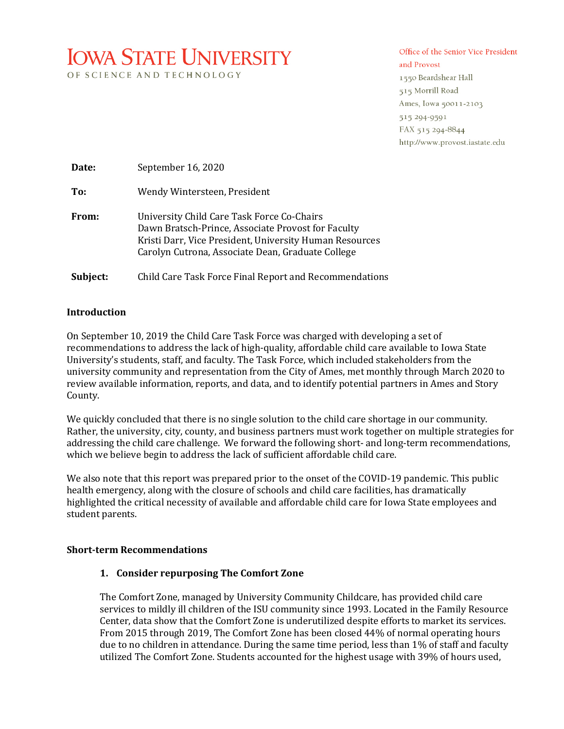# **IOWA STATE UNIVERSITY**

OF SCIENCE AND TECHNOLOGY

# Office of the Senior Vice President and Provost

1550 Beardshear Hall 515 Morrill Road Ames, Iowa 50011-2103 515 294-9591 FAX 515 294-8844 http://www.provost.iastate.edu

Date: September 16, 2020 To: Wendy Wintersteen, President **From:** University Child Care Task Force Co-Chairs Dawn Bratsch-Prince, Associate Provost for Faculty Kristi Darr, Vice President, University Human Resources Carolyn Cutrona, Associate Dean, Graduate College

**Subject:** Child Care Task Force Final Report and Recommendations

# **Introduction**

On September 10, 2019 the Child Care Task Force was charged with developing a set of recommendations to address the lack of high-quality, affordable child care available to Iowa State University's students, staff, and faculty. The Task Force, which included stakeholders from the university community and representation from the City of Ames, met monthly through March 2020 to review available information, reports, and data, and to identify potential partners in Ames and Story County. 

We quickly concluded that there is no single solution to the child care shortage in our community. Rather, the university, city, county, and business partners must work together on multiple strategies for addressing the child care challenge. We forward the following short- and long-term recommendations, which we believe begin to address the lack of sufficient affordable child care.

We also note that this report was prepared prior to the onset of the COVID-19 pandemic. This public health emergency, along with the closure of schools and child care facilities, has dramatically highlighted the critical necessity of available and affordable child care for Iowa State employees and student parents.

#### **Short-term Recommendations**

#### **1. Consider repurposing The Comfort Zone**

The Comfort Zone, managed by University Community Childcare, has provided child care services to mildly ill children of the ISU community since 1993. Located in the Family Resource Center, data show that the Comfort Zone is underutilized despite efforts to market its services. From 2015 through 2019, The Comfort Zone has been closed 44% of normal operating hours due to no children in attendance. During the same time period, less than 1% of staff and faculty utilized The Comfort Zone. Students accounted for the highest usage with 39% of hours used,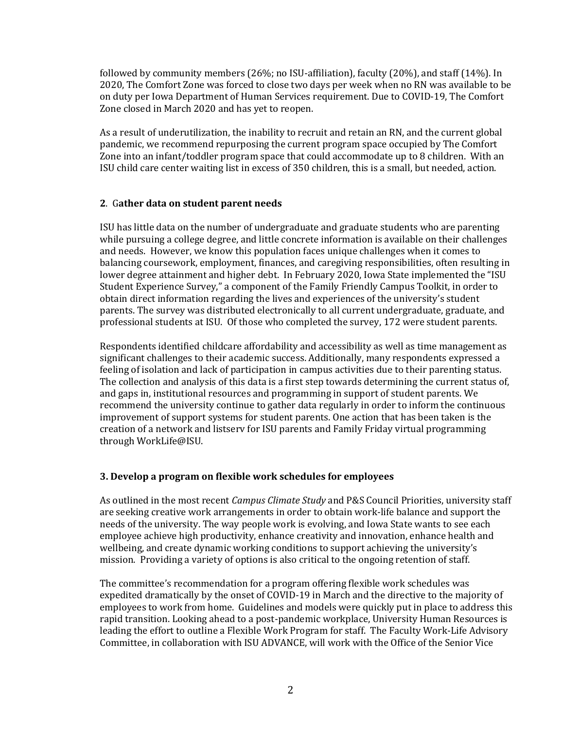followed by community members  $(26\%)$ ; no ISU-affiliation), faculty  $(20\%)$ , and staff  $(14\%)$ . In 2020, The Comfort Zone was forced to close two days per week when no RN was available to be on duty per Iowa Department of Human Services requirement. Due to COVID-19, The Comfort Zone closed in March 2020 and has yet to reopen.

As a result of underutilization, the inability to recruit and retain an RN, and the current global pandemic, we recommend repurposing the current program space occupied by The Comfort Zone into an infant/toddler program space that could accommodate up to 8 children. With an ISU child care center waiting list in excess of 350 children, this is a small, but needed, action.

# **2**. G**ather data on student parent needs**

ISU has little data on the number of undergraduate and graduate students who are parenting while pursuing a college degree, and little concrete information is available on their challenges and needs. However, we know this population faces unique challenges when it comes to balancing coursework, employment, finances, and caregiving responsibilities, often resulting in lower degree attainment and higher debt. In February 2020, Iowa State implemented the "ISU Student Experience Survey," a component of the Family Friendly Campus Toolkit, in order to obtain direct information regarding the lives and experiences of the university's student parents. The survey was distributed electronically to all current undergraduate, graduate, and professional students at ISU. Of those who completed the survey, 172 were student parents.

Respondents identified childcare affordability and accessibility as well as time management as significant challenges to their academic success. Additionally, many respondents expressed a feeling of isolation and lack of participation in campus activities due to their parenting status. The collection and analysis of this data is a first step towards determining the current status of, and gaps in, institutional resources and programming in support of student parents. We recommend the university continue to gather data regularly in order to inform the continuous improvement of support systems for student parents. One action that has been taken is the creation of a network and listserv for ISU parents and Family Friday virtual programming through WorkLife@ISU.

# **3. Develop a program on flexible work schedules for employees**

As outlined in the most recent *Campus Climate Study* and P&S Council Priorities, university staff are seeking creative work arrangements in order to obtain work-life balance and support the needs of the university. The way people work is evolving, and Iowa State wants to see each employee achieve high productivity, enhance creativity and innovation, enhance health and wellbeing, and create dynamic working conditions to support achieving the university's mission. Providing a variety of options is also critical to the ongoing retention of staff.

The committee's recommendation for a program offering flexible work schedules was expedited dramatically by the onset of COVID-19 in March and the directive to the majority of employees to work from home. Guidelines and models were quickly put in place to address this rapid transition. Looking ahead to a post-pandemic workplace, University Human Resources is leading the effort to outline a Flexible Work Program for staff. The Faculty Work-Life Advisory Committee, in collaboration with ISU ADVANCE, will work with the Office of the Senior Vice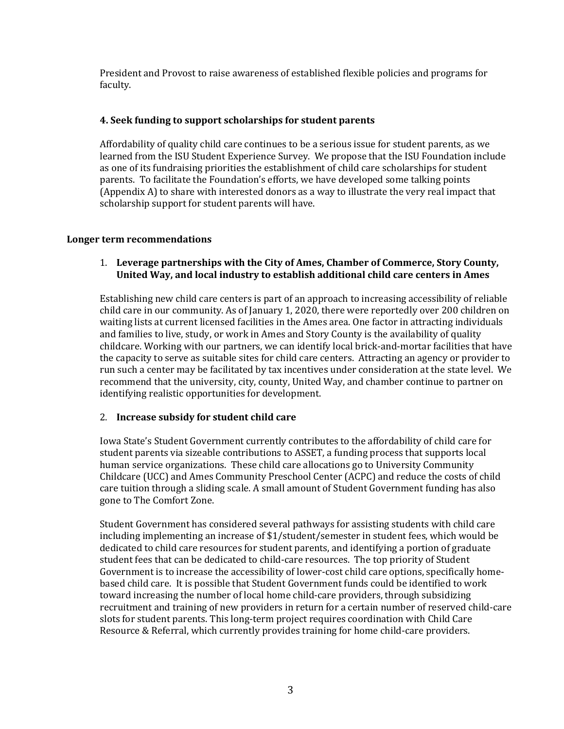President and Provost to raise awareness of established flexible policies and programs for faculty. 

# **4. Seek funding to support scholarships for student parents**

Affordability of quality child care continues to be a serious issue for student parents, as we learned from the ISU Student Experience Survey. We propose that the ISU Foundation include as one of its fundraising priorities the establishment of child care scholarships for student parents. To facilitate the Foundation's efforts, we have developed some talking points (Appendix A) to share with interested donors as a way to illustrate the very real impact that scholarship support for student parents will have.

#### Longer term recommendations

# 1. Leverage partnerships with the City of Ames, Chamber of Commerce, Story County, United Way, and local industry to establish additional child care centers in Ames

Establishing new child care centers is part of an approach to increasing accessibility of reliable child care in our community. As of January 1, 2020, there were reportedly over 200 children on waiting lists at current licensed facilities in the Ames area. One factor in attracting individuals and families to live, study, or work in Ames and Story County is the availability of quality childcare. Working with our partners, we can identify local brick-and-mortar facilities that have the capacity to serve as suitable sites for child care centers. Attracting an agency or provider to run such a center may be facilitated by tax incentives under consideration at the state level. We recommend that the university, city, county, United Way, and chamber continue to partner on identifying realistic opportunities for development.

#### 2. **Increase subsidy for student child care**

Iowa State's Student Government currently contributes to the affordability of child care for student parents via sizeable contributions to ASSET, a funding process that supports local human service organizations. These child care allocations go to University Community Childcare (UCC) and Ames Community Preschool Center (ACPC) and reduce the costs of child care tuition through a sliding scale. A small amount of Student Government funding has also gone to The Comfort Zone.

Student Government has considered several pathways for assisting students with child care including implementing an increase of  $$1/student/semester$  in student fees, which would be dedicated to child care resources for student parents, and identifying a portion of graduate student fees that can be dedicated to child-care resources. The top priority of Student Government is to increase the accessibility of lower-cost child care options, specifically homebased child care. It is possible that Student Government funds could be identified to work toward increasing the number of local home child-care providers, through subsidizing recruitment and training of new providers in return for a certain number of reserved child-care slots for student parents. This long-term project requires coordination with Child Care Resource & Referral, which currently provides training for home child-care providers.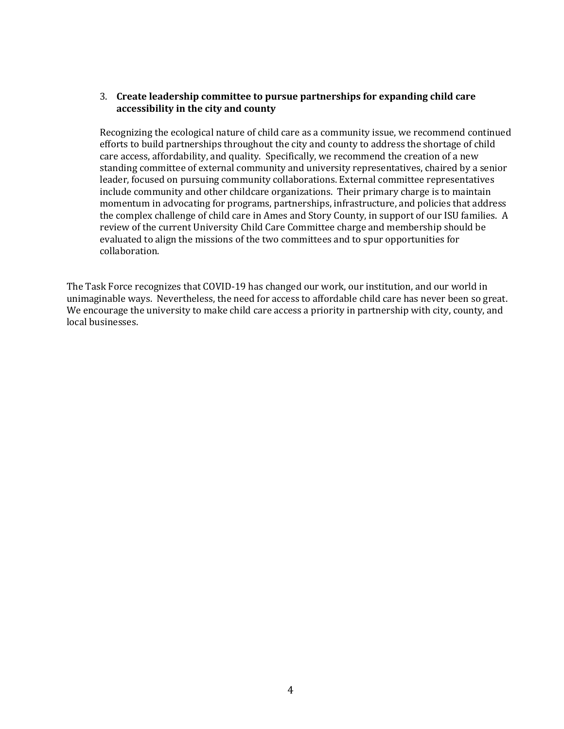# 3. Create leadership committee to pursue partnerships for expanding child care accessibility in the city and county

Recognizing the ecological nature of child care as a community issue, we recommend continued efforts to build partnerships throughout the city and county to address the shortage of child care access, affordability, and quality. Specifically, we recommend the creation of a new standing committee of external community and university representatives, chaired by a senior leader, focused on pursuing community collaborations. External committee representatives include community and other childcare organizations. Their primary charge is to maintain momentum in advocating for programs, partnerships, infrastructure, and policies that address the complex challenge of child care in Ames and Story County, in support of our ISU families. A review of the current University Child Care Committee charge and membership should be evaluated to align the missions of the two committees and to spur opportunities for collaboration. 

The Task Force recognizes that COVID-19 has changed our work, our institution, and our world in unimaginable ways. Nevertheless, the need for access to affordable child care has never been so great. We encourage the university to make child care access a priority in partnership with city, county, and local businesses.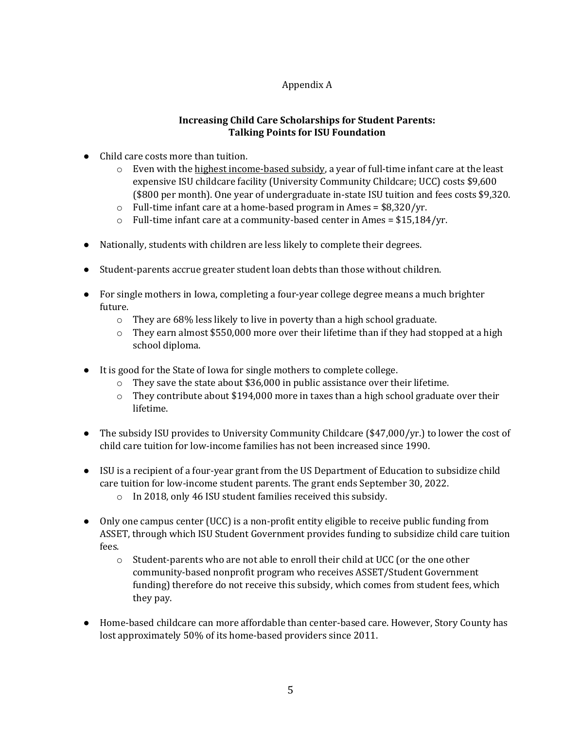# Appendix A

# **Increasing Child Care Scholarships for Student Parents: Talking Points for ISU Foundation**

- Child care costs more than tuition.
	- $\circ$  Even with the highest income-based subsidy, a year of full-time infant care at the least expensive ISU childcare facility (University Community Childcare; UCC) costs \$9,600 (\$800 per month). One year of undergraduate in-state ISU tuition and fees costs \$9,320.
	- $\circ$  Full-time infant care at a home-based program in Ames = \$8,320/yr.
	- $\circ$  Full-time infant care at a community-based center in Ames = \$15,184/yr.
- Nationally, students with children are less likely to complete their degrees.
- Student-parents accrue greater student loan debts than those without children.
- For single mothers in Iowa, completing a four-year college degree means a much brighter future.
	- $\circ$  They are 68% less likely to live in poverty than a high school graduate.
	- $\circ$  They earn almost \$550,000 more over their lifetime than if they had stopped at a high school diploma.
- $\bullet$  It is good for the State of Iowa for single mothers to complete college.
	- $\circ$  They save the state about \$36,000 in public assistance over their lifetime.
	- $\circ$  They contribute about \$194,000 more in taxes than a high school graduate over their lifetime.
- The subsidy ISU provides to University Community Childcare  $(\$47,000/yr.)$  to lower the cost of child care tuition for low-income families has not been increased since 1990.
- ISU is a recipient of a four-year grant from the US Department of Education to subsidize child care tuition for low-income student parents. The grant ends September 30, 2022.
	- $\circ$  In 2018, only 46 ISU student families received this subsidy.
- Only one campus center (UCC) is a non-profit entity eligible to receive public funding from ASSET, through which ISU Student Government provides funding to subsidize child care tuition fees.
	- $\circ$  Student-parents who are not able to enroll their child at UCC (or the one other community-based nonprofit program who receives ASSET/Student Government funding) therefore do not receive this subsidy, which comes from student fees, which they pay.
- Home-based childcare can more affordable than center-based care. However, Story County has lost approximately 50% of its home-based providers since 2011.